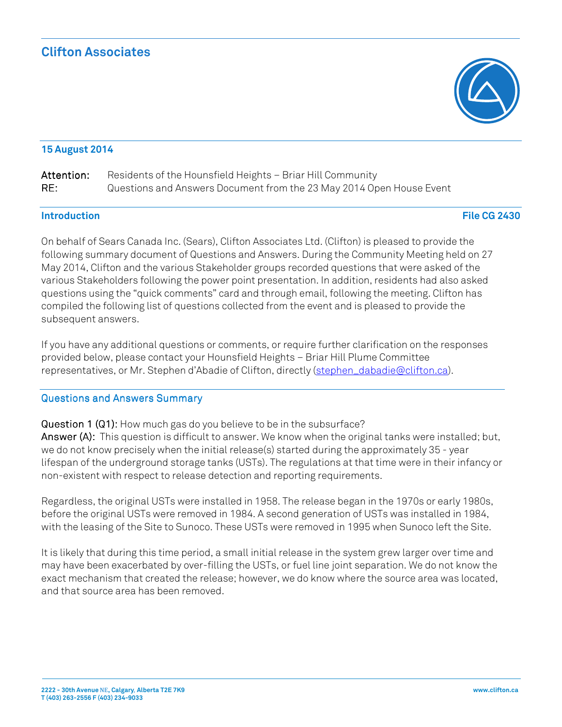### **15 August 2014**

| Attention: | Residents of the Hounsfield Heights - Briar Hill Community           |
|------------|----------------------------------------------------------------------|
| RE:        | Questions and Answers Document from the 23 May 2014 Open House Event |

#### **Introduction Introduction File CG 2430**

 On behalf of Sears Canada Inc. (Sears), Clifton Associates Ltd. (Clifton) is pleased to provide the following summary document of Questions and Answers. During the Community Meeting held on 27 May 2014, Clifton and the various Stakeholder groups recorded questions that were asked of the various Stakeholders following the power point presentation. In addition, residents had also asked questions using the "quick comments" card and through email, following the meeting. Clifton has compiled the following list of questions collected from the event and is pleased to provide the subsequent answers.

subsequent answers.<br>If you have any additional questions or comments, or require further clarification on the responses provided below, please contact your Hounsfield Heights – Briar Hill Plume Committee representatives, or Mr. Stephen d'Abadie of Clifton, directly (<u>stephen\_dabadie@clifton.ca</u>).

#### Questions and Answers Summary Questions and Answers Summary

 Question 1 (Q1): Question 1 (Q1): How much gas do you believe to be in the subsurface? Answer (A): Answer (A): This question is difficult to answer. We know when the original tanks were installed; but, we do not know precisely when the initial release(s) started during the approximately 35 - year lifespan of the underground storage tanks (USTs). The regulations at that time were in their infancy or non-existent with respect to release detection and reporting requirements.

 Regardless, the original USTs were installed in 1958. The release began in the 1970s or early 1980s, before the original USTs were removed in 1984. A second generation of USTs was installed in 1984, with the leasing of the Site to Sunoco. These USTs were removed in 1995 when Sunoco left the Site.

 It is likely that during this time period, a small initial release in the system grew larger over time and may have been exacerbated by over-filling the USTs, or fuel line joint separation. We do not know the exact mechanism that created the release; however, we do know where the source area was located, and that source area has been removed.

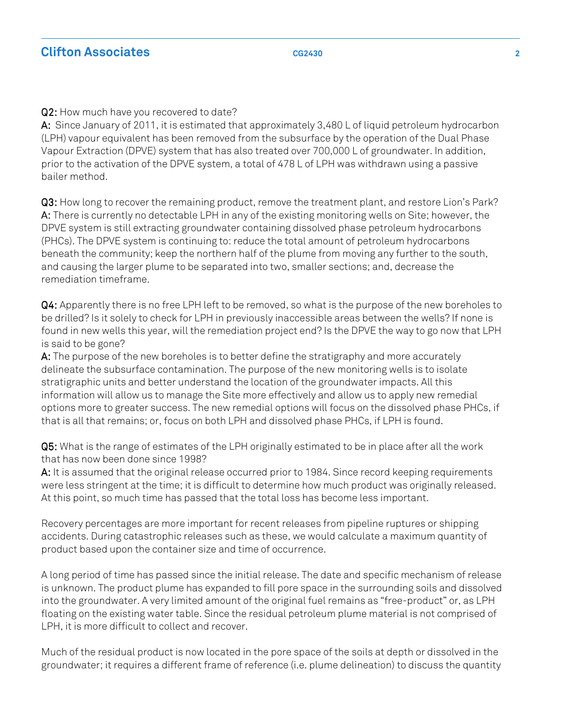Q2: Q2: How much have you recovered to date?

 A: A: Since January of 2011, it is estimated that approximately 3,480 L of liquid petroleum hydrocarbon (LPH) vapour equivalent has been removed from the subsurface by the operation of the Dual Phase Vapour Extraction (DPVE) system that has also treated over 700,000 L of groundwater. In addition, prior to the activation of the DPVE system, a total of 478 L of LPH was withdrawn using a passive bailer method.

 Q3: Q3: How long to recover the remaining product, remove the treatment plant, and restore Lion's Park? A: A: There is currently no detectable LPH in any of the existing monitoring wells on Site; however, the DPVE system is still extracting groundwater containing dissolved phase petroleum hydrocarbons (PHCs). The DPVE system is continuing to: reduce the total amount of petroleum hydrocarbons beneath the community; keep the northern half of the plume from moving any further to the south, and causing the larger plume to be separated into two, smaller sections; and, decrease the remediation timeframe.

 Q4: Q4: Apparently there is no free LPH left to be removed, so what is the purpose of the new boreholes to be drilled? Is it solely to check for LPH in previously inaccessible areas between the wells? If none is found in new wells this year, will the remediation project end? Is the DPVE the way to go now that LPH is said to be gone?

**A:** The purpose of the new boreholes is to better define the stratigraphy and more accurately delineate the subsurface contamination. The purpose of the new monitoring wells is to isolate stratigraphic units and better understand the location of the groundwater impacts. All this information will allow us to manage the Site more effectively and allow us to apply new remedial options more to greater success. The new remedial options will focus on the dissolved phase PHCs, if that is all that remains; or, focus on both LPH and dissolved phase PHCs, if LPH is found.

 Q5: Q5: What is the range of estimates of the LPH originally estimated to be in place after all the work that has now been done since 1998?

 A: A: It is assumed that the original release occurred prior to 1984. Since record keeping requirements were less stringent at the time; it is difficult to determine how much product was originally released. At this point, so much time has passed that the total loss has become less important.

 Recovery percentages are more important for recent releases from pipeline ruptures or shipping accidents. During catastrophic releases such as these, we would calculate a maximum quantity of product based upon the container size and time of occurrence.

 A long period of time has passed since the initial release. The date and specific mechanism of release is unknown. The product plume has expanded to fill pore space in the surrounding soils and dissolved into the groundwater. A very limited amount of the original fuel remains as "free-product" or, as LPH floating on the existing water table. Since the residual petroleum plume material is not comprised of LPH, it is more difficult to collect and recover.

 Much of the residual product is now located in the pore space of the soils at depth or dissolved in the groundwater; it requires a different frame of reference (i.e. plume delineation) to discuss the quantity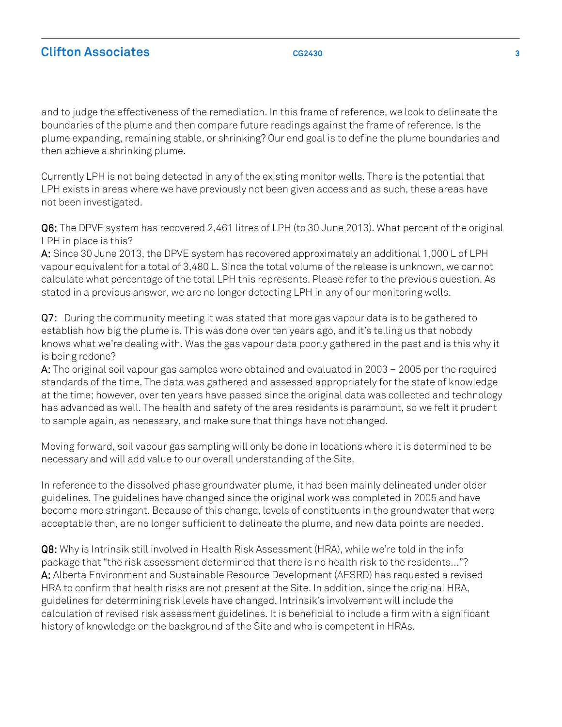and to judge the effectiveness of the remediation. In this frame of reference, we look to delineate the boundaries of the plume and then compare future readings against [the frame of reference. Is](https://theframeofreference.Is) the plume expanding, remaining stable, or shrinking? Our end goal is to define the plume boundaries and then achieve a shrinking plume.

 Currently LPH is not being detected in any of the existing monitor wells. There is the potential that LPH exists in areas where we have previously not been given access and as such, these areas have not been investigated.

 Q6: Q6: The DPVE system has recovered 2,461 litres of LPH (to 30 June 2013). What percent of the original LPH in place is this?

 A: A: Since 30 June 2013, the DPVE system has recovered approximately an additional 1,000 L of LPH vapour equivalent for a total of 3,480 L. Since the total volume of the release is unknown, we cannot calculate what percentage of the total LPH this represents. Please refer to the previous [question. As](https://question.As) stated in a previous answer, we are no longer detecting LPH in any of our monitoring wells.

 Q7: Q7: During the community meeting it was stated that more gas vapour data is to be gathered to establish how big the plume is. This was done over ten years ago, and it's telling us that nobody knows what we're dealing with. Was the gas vapour data poorly gathered in the past and is this why it is being redone?

 A: A: The original soil vapour gas samples were obtained and evaluated in 2003 – 2005 per the required standards of the time. The data was gathered and assessed appropriately for the state of knowledge at the time; however, over ten years have passed since the original data was collected and technology has advanced as well. The health and safety of the area residents is paramount, so we felt it prudent to sample again, as necessary, and make sure that things have not changed.

 Moving forward, soil vapour gas sampling will only be done in locations where it is determined to be necessary and will add value to our overall understanding of the Site.

 In reference to the dissolved phase groundwater plume, it had been mainly delineated under older guidelines. The guidelines have changed since the original work was completed in 2005 and have become more stringent. Because of this change, levels of constituents in the groundwater that were acceptable then, are no longer sufficient to delineate the plume, and new data points are needed.

 Q8: Q8: Why is Intrinsik still involved in Health Risk Assessment (HRA), while we're told in the info package that "the risk assessment determined that there is no health risk to the residents…"? A: A: Alberta Environment and Sustainable Resource Development (AESRD) has requested a revised HRA to confirm that health risks are not present at the Site. In addition, since the original HRA, guidelines for determining risk levels have changed. Intrinsik's involvement will include the calculation of revised risk assessment [guidelines. It](https://guidelines.It) is beneficial to include a firm with a significant history of knowledge on the background of the Site and who is competent in HRAs.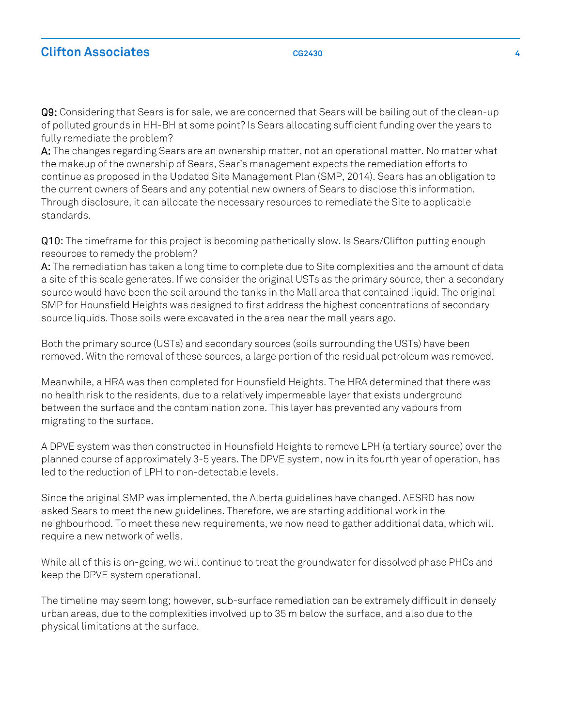# **Clifton Associates** 4 *CG2430* **<b>4** *CG2430* **4 4**

 Q9: Q9: Considering that Sears is for sale, we are concerned that Sears will be bailing out of the clean-up of polluted grounds in HH-BH at some point? Is Sears allocating sufficient funding over the years to fully remediate the problem?

 A: A: The changes regarding Sears are an ownership matter, not an operational matter. No matter what the makeup of the ownership of Sears, Sear's management expects the remediation efforts to continue as proposed in the Updated Site Management Plan (SMP, 2014). Sears has an obligation to the current owners of Sears and any potential new owners of Sears to disclose this information. Through disclosure, it can allocate the necessary resources to remediate the Site to applicable standards.

standards.<br>**Q10:** The timeframe for this project is becoming pathetically slow. Is Sears/Clifton putting enough resources to remedy the problem?

 A: A: The remediation has taken a long time to complete due to Site complexities and the amount of data a site of this scale generates. If we consider the original USTs as the primary source, then a secondary source would have been the soil around the tanks in the Mall area that contained liquid. The original SMP for Hounsfield Heights was designed to first address the highest concentrations of secondary source liquids. Those soils were excavated in the area near the mall years ago.

 Both the primary source (USTs) and secondary sources (soils surrounding the USTs) have been removed. With the removal of these sources, a large portion of the residual petroleum was removed.

 Meanwhile, a HRA was then completed for Hounsfield Heights. The HRA determined that there was no health risk to the residents, due to a relatively impermeable layer that exists underground between the surface and the contamination zone. This layer has prevented any vapours from migrating to the surface.

 A DPVE system was then constructed in Hounsfield Heights to remove LPH (a tertiary source) over the planned course of approximately 3-5 years. The DPVE system, now in its fourth year of operation, has led to the reduction of LPH to non-detectable levels.

 Since the original SMP was implemented, the Alberta guidelines have changed. AESRD has now asked Sears to meet the new guidelines. Therefore, we are starting additional work in the neighbourhood. To meet these new requirements, we now need to gather additional data, which will require a new network of wells.

 While all of this is on-going, we will continue to treat the groundwater for dissolved phase PHCs and keep the DPVE system operational.

 The timeline may seem long; however, sub-surface remediation can be extremely difficult in densely urban areas, due to the complexities involved up to 35 m below the surface, and also due to the physical limitations at the surface.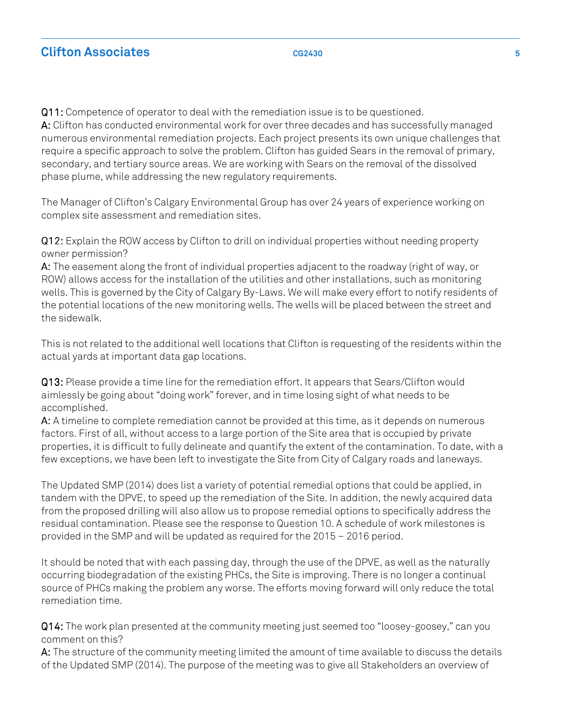Q11: Q11: Competence of operator to deal with the remediation issue is to be questioned. A: A: Clifton has conducted environmental work for over three decades and has successfully managed numerous environmental remediation projects. Each project presents its own unique challenges that require a specific approach to solve the problem. Clifton has guided Sears in the removal of primary, secondary, and tertiary source areas. We are working with Sears on the removal of the dissolved phase plume, while addressing the new regulatory requirements.

 The Manager of Clifton's Calgary Environmental Group has over 24 years of experience working on complex site assessment and remediation sites.

 Q12: Q12: Explain the ROW access by Clifton to drill on individual properties without needing property owner permission?

 A: A: The easement along the front of individual properties adjacent to the roadway (right of way, or ROW) allows access for the installation of the utilities and other installations, such as monitoring wells. This is governed by the City of Calgary By-Laws. We will make every effort to notify residents of the potential locations of the new monitoring wells. The wells will be placed between the street and the sidewalk.

 This is not related to the additional well locations that Clifton is requesting of the residents within the actual yards at important data gap locations.

 Q13: Q13: Please provide a time line for [the remediation effort. It](https://theremediationeffort.It) appears that Sears/Clifton would aimlessly be going about "doing work" forever, and in time losing sight of what needs to be accomplished.

 A: A: A timeline to complete remediation cannot be provided at this time, as it depends on numerous factors. First of all, without access to a large portion of the Site area that is occupied by private properties, it is difficult to fully delineate and quantify the extent of the contamination. To date, with a few exceptions, we have been left to investigate the Site from City of Calgary roads and laneways.

 The Updated SMP (2014) does list a variety of potential remedial options that could be applied, in tandem with the DPVE, to speed up the remediation of the Site. In addition, the newly acquired data from the proposed drilling will also allow us to propose remedial options to specifically address the residual contamination. Please see the response to Question 10. A schedule of work milestones is provided in the SMP and will be updated as required for the 2015 – 2016 period.

 It should be noted that with each passing day, through the use of the DPVE, as well as the naturally occurring biodegradation of the existing PHCs, the Site is improving. There is no longer a continual source of PHCs making the problem any worse. The efforts moving forward will only reduce the total remediation time.

 Q14: Q14: The work plan presented at the community meeting just seemed too "loosey-goosey," can you comment on this?

 A: A: The structure of the community meeting limited the amount of time available to discuss the details of the Updated SMP (2014). The purpose of the meeting was to give all Stakeholders an overview of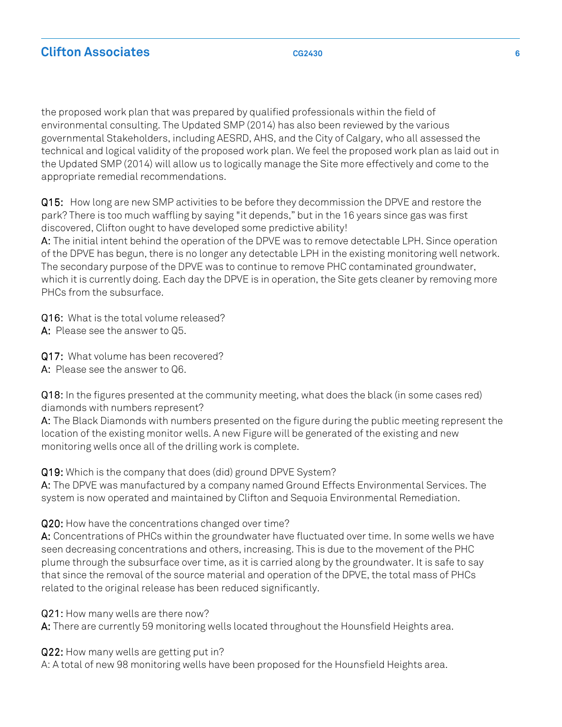# **Clifton Associates CG2430 6**

 the proposed work plan that was prepared by qualified professionals within the field of environmental consulting. The Updated SMP (2014) has also been reviewed by the various governmental Stakeholders, including AESRD, AHS, and the City of Calgary, who all assessed the technical and logical validity of the proposed work plan. We feel the proposed work plan as laid out in the Updated SMP (2014) will allow us to logically manage the Site more effectively and come to the appropriate remedial recommendations.

 Q15: Q15: How long are new SMP activities to be before they decommission the DPVE and restore the park? There is too much waffling by saying "it depends," but in the 16 years since gas was first discovered, Clifton ought to have developed some predictive ability!

 A: A: The initial intent behind the operation of the DPVE was to remove detectable LPH. Since operation of the DPVE has begun, there is no longer any detectable LPH in the existing monitoring well network. The secondary purpose of the DPVE was to continue to remove PHC contaminated groundwater, which it is currently doing. Each day the DPVE is in operation, the Site gets cleaner by removing more PHCs from the subsurface.

Q16: Q16: What is the total volume released?

A: A: Please see the answer to Q5.

Q17: Q17: What volume has been recovered?

A: A: Please see the answer to Q6.

 Q18: Q18: In the figures presented at the community meeting, what does the black (in some cases red) diamonds with numbers represent?

 A: A: The Black Diamonds with numbers presented on the figure during the public meeting represent the location of the existing monitor wells. A new Figure will be generated of the existing and new monitoring wells once all of the drilling work is complete.

Q19: Q19: Which is the company that does (did) ground DPVE System?

 A: A: The DPVE was manufactured by a company named Ground Effects Environmental Services. The system is now operated and maintained by Clifton and Sequoia Environmental Remediation.

### Q20: Q20: How have the concentrations changed over time?

 A: A: Concentrations of PHCs within the groundwater have fluctuated over time. In some wells we have seen decreasing concentrations and others, increasing. This is due to the movement of the PHC plume through the subsurface over time, as it is carried along by [the groundwater. It](https://thegroundwater.It) is safe to say that since the removal of the source material and operation of the DPVE, the total mass of PHCs related to the original release has been reduced significantly.

Q21: Q21: How many wells are there now?

A: A: There are currently 59 monitoring wells located throughout the Hounsfield Heights area.

Q22: Q22: How many wells are getting put in?

A: A total of new 98 monitoring wells have been proposed for the Hounsfield Heights area.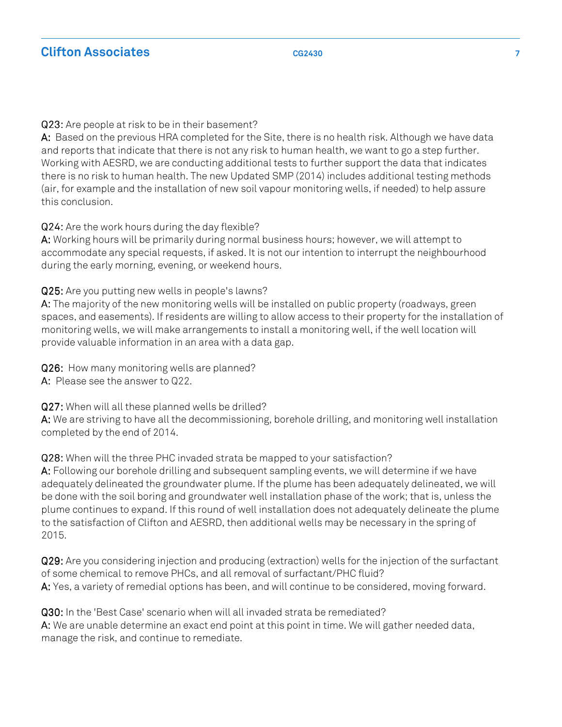### Q23: Q23: Are people at risk to be in their basement?

 A: A: Based on the previous HRA completed for the Site, there is no health risk. Although we have data and reports that indicate that there is not any risk to human health, we want to go a step further. Working with AESRD, we are conducting additional tests to further support the data that indicates there is no risk to human health. The new Updated SMP (2014) includes additional testing methods (air, for example and the installation of new soil vapour monitoring wells, if needed) to help assure this conclusion.

Q24: Q24: Are the work hours during the day flexible?

 A: A: Working hours will be primarily during normal business hours; however, we will attempt to [accommodate any special requests, if asked. It](https://accommodateanyspecialrequests,ifasked.It) is not our intention to interrupt the neighbourhood during the early morning, evening, or weekend hours.

Q25: Q25: Are you putting new wells in people's lawns?

 A: A: The majority of the new monitoring wells will be installed on public property (roadways, green spaces, and easements). If residents are willing to allow access to their property for the installation of monitoring wells, we will make arrangements to install a monitoring well, if the well location will provide valuable information in an area with a data gap.

 Q26: Q26: How many monitoring wells are planned? A: A: Please see the answer to Q22.

Q27: Q27: When will all these planned wells be drilled?

 A: A: We are striving to have all the decommissioning, borehole drilling, and monitoring well installation completed by the end of 2014.

### Q28: Q28: When will the three PHC invaded strata be mapped to your satisfaction?

 A: A: Following our borehole drilling and subsequent sampling events, we will determine if we have adequately delineated the groundwater plume. If the plume has been adequately delineated, we will be done with the soil boring and groundwater well installation phase of the work; that is, unless the plume continues to expand. If this round of well installation does not adequately delineate the plume to the satisfaction of Clifton and AESRD, then additional wells may be necessary in the spring of 2015.

 Q29: Q29: Are you considering injection and producing (extraction) wells for the injection of the surfactant of some chemical to remove PHCs, and all removal of surfactant/PHC fluid? A: A: Yes, a variety of remedial options has been, and will continue to be considered, moving forward.

 Q30: Q30: In the 'Best Case' scenario when will all invaded strata be remediated? A: A: We are unable determine an exact end point at this point in time. We will gather needed data, manage the risk, and continue to remediate.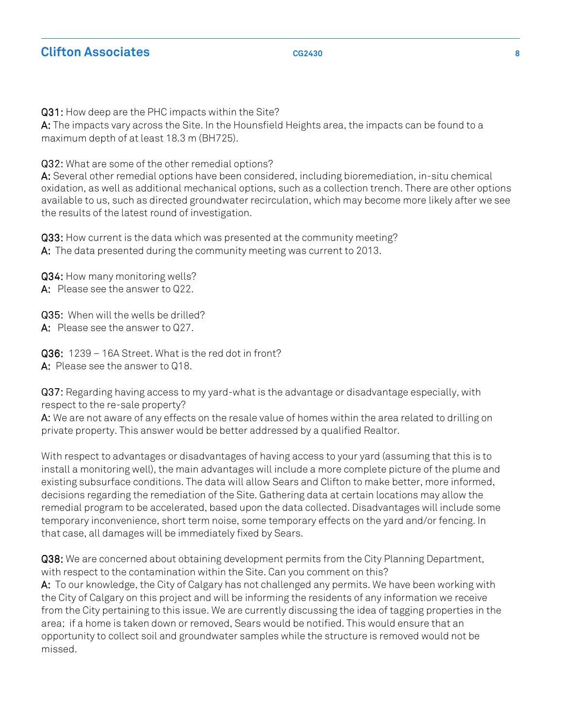Q31: Q31: How deep are the PHC impacts within the Site?

**A:** The impacts vary across the Site. In the Hounsfield Heights area, the impacts can be found to a maximum depth of at least 18.3 m (BH725).

Q32: Q32: What are some of the other remedial options?

 A: A: Several other remedial options have been considered, including bioremediation, in-situ chemical oxidation, as well as additional mechanical options, such as a collection trench. There are other options available to us, such as directed groundwater recirculation, which may become more likely after we see the results of the latest round of investigation.

 Q33: Q33: How current is the data which was presented at the community meeting? A: A: The data presented during the community meeting was current to 2013.

 Q34: Q34: How many monitoring wells? A: A: Please see the answer to Q22.

 Q35: Q35: When will the wells be drilled? A: A: Please see the answer to Q27.

 Q36: Q36: 1239 – 16A Street. What is the red dot in front? A: A: Please see the answer to Q18.

 Q37: Q37: Regarding having access to my yard-what is the advantage or disadvantage especially, with respect to the re-sale property?

 A: A: We are not aware of any effects on the resale value of homes within the area related to drilling on private property. This answer would be better addressed by a qualified Realtor.

 With respect to advantages or disadvantages of having access to your yard (assuming that this is to install a monitoring well), the main advantages will include a more complete picture of the plume and existing subsurface conditions. The data will allow Sears and Clifton to make better, more informed, decisions regarding the remediation of the Site. Gathering data at certain locations may allow the remedial program to be accelerated, based upon the data collected. Disadvantages will include some temporary inconvenience, short term noise, some temporary effects on the yard and/or [fencing. In](https://fencing.In)  that case, all damages will be immediately fixed by Sears.

 Q38: Q38: We are concerned about obtaining development permits from the City Planning Department, with respect to the contamination within the Site. Can you comment on this? A: A: To our knowledge, the City of Calgary has not challenged any permits. We have been working with the City of Calgary on this project and will be informing the residents of any information we receive from the City pertaining to this issue. We are currently discussing the idea of tagging properties in the area; if a home is taken down or removed, Sears would be notified. This would ensure that an opportunity to collect soil and groundwater samples while the structure is removed would not be missed.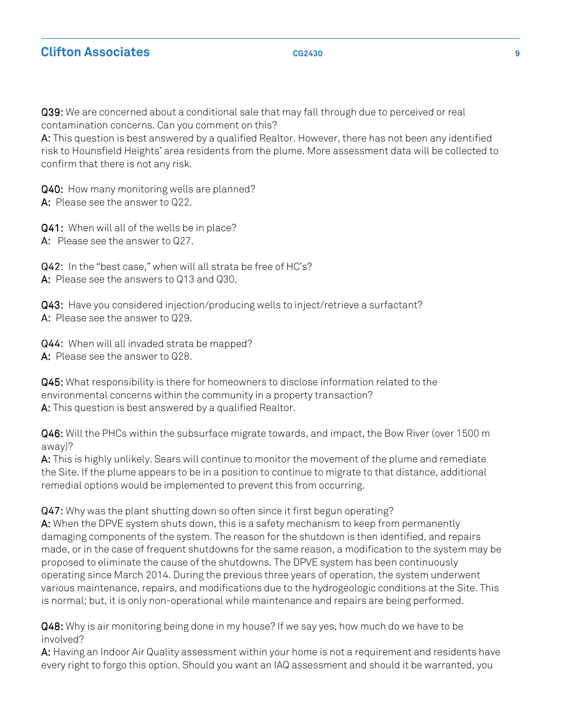Q39: Q39: We are concerned about a conditional sale that may fall through due to perceived or real contamination concerns. Can you comment on this?

 A: A: This question is best answered by a qualified Realtor. However, there has not been any identified risk to Hounsfield Heights' area residents from the plume. More assessment data will be collected to confirm that there is not any risk.

 Q40: Q40: How many monitoring wells are planned? A: A: Please see the answer to Q22.

 Q41: Q41: When will all of the wells be in place? A: A: Please see the answer to Q27.

 Q42: Q42: In the "best case," when will all strata be free of HC's? A: A: Please see the answers to Q13 and Q30.

 Q43: Q43: Have you considered injection/producing wells to inject/retrieve a surfactant? A: A: Please see the answer to Q29.

 Q44: Q44: When will all invaded strata be mapped? A: A: Please see the answer to Q28.

 Q45: Q45: What responsibility is there for homeowners to disclose information related to the environmental concerns within the community in a property transaction? A: A: This question is best answered by a qualified Realtor.

 Q46: Q46: Will the PHCs within the subsurface migrate towards, and impact, the Bow River (over 1500 m away)?

 A: A: This is highly unlikely. Sears will continue to monitor the movement of the plume and remediate the Site. If the plume appears to be in a position to continue to migrate to that distance, additional remedial options would be implemented to prevent this from occurring.

 Q47: Q47: Why was the plant shutting down so often since it first begun operating? A: A: When the DPVE system shuts down, this is a safety mechanism to keep from permanently damaging components of the system. The reason for the shutdown is then identified, and repairs made, or in the case of frequent shutdowns for the same reason, a modification to the system may be proposed to eliminate the cause of the shutdowns. The DPVE system has been continuously operating since March 2014. During the previous three years of operation, the system underwent various maintenance, repairs, and modifications due to the hydrogeologic conditions at the Site. This is normal; but, it is only non-operational while maintenance and repairs are being performed.

 Q48: Q48: Why is air monitoring being done in my house? If we say yes, how much do we have to be involved?

 A: A: Having an Indoor Air Quality assessment within your home is not a requirement and residents have every right to forgo this option. Should you want an IAQ assessment and should it be warranted, you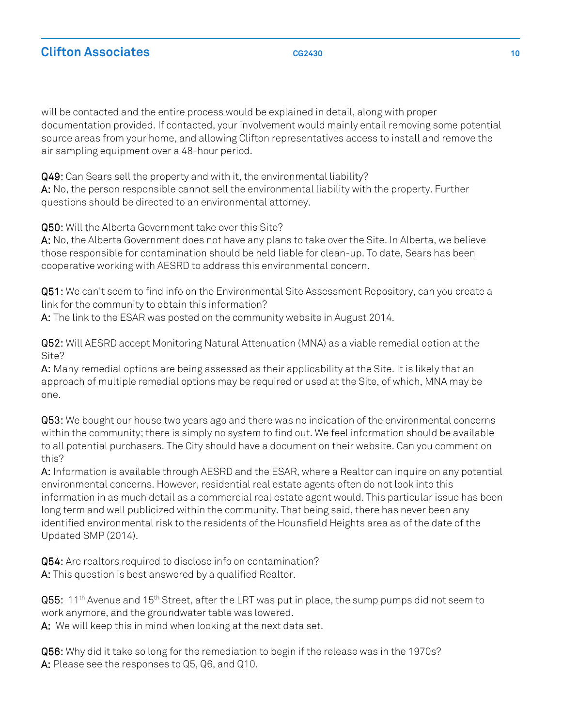will be contacted and the entire process would be explained in detail, along with proper documentation provided. If contacted, your involvement would mainly entail removing some potential source areas from your home, and allowing Clifton representatives access to install and remove the air sampling equipment over a 48-hour period.

 Q49: Q49: Can Sears sell the property and with it, the environmental liability? A: A: No, the person responsible cannot sell the environmental liability with the property. Further questions should be directed to an environmental attorney.

Q50: Q50: Will the Alberta Government take over this Site?

 A: A: No, the Alberta Government does not have any plans to take over the Site. In Alberta, we believe those responsible for contamination should be held liable for clean-up. To date, Sears has been cooperative working with AESRD to address this environmental concern.

 Q51: Q51: We can't seem to find info on the Environmental Site Assessment Repository, can you create a link for the community to obtain this information?

A: A: The link to the ESAR was posted on the community website in August 2014.

 Q52: Q52: Will AESRD accept Monitoring Natural Attenuation (MNA) as a viable remedial option at the Site?

 A: A: Many remedial options are being assessed as their applicability at the Site. It is likely that an approach of multiple remedial options may be required or used at the Site, of which, MNA may be  one.

 Q53: Q53: We bought our house two years ago and there was no indication of the environmental concerns within the community; there is simply no system to find out. We feel information should be available to all potential purchasers. The City should have a document on their website. Can you comment on this?

 A: A: Information is available through AESRD and the ESAR, where a Realtor can inquire on any potential environmental concerns. However, residential real estate agents often do not look into this information in as much detail as a commercial real estate agent would. This particular issue has been long term and well publicized within the community. That being said, there has never been any identified environmental risk to the residents of the Hounsfield Heights area as of the date of the Updated SMP (2014).

 Q54: Q54: Are realtors required to disclose info on contamination? A: A: This question is best answered by a qualified Realtor.

**Q55:** 11<sup>th</sup> Avenue and 15<sup>th</sup> Street, after the LRT was put in place, the sump pumps did not seem to work anymore, and the groundwater table was lowered.

A: A: We will keep this in mind when looking at the next data set.

 Q56: Q56: Why did it take so long for the remediation to begin if the release was in the 1970s? A: A: Please see the responses to Q5, Q6, and Q10.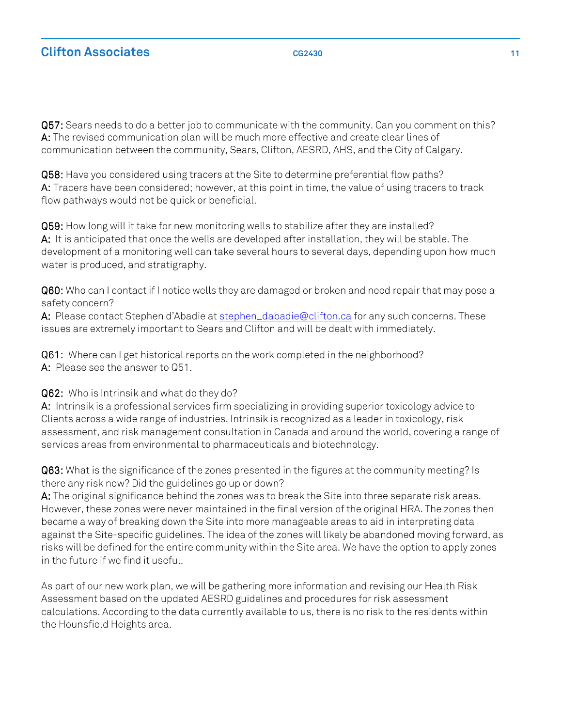Q57: Q57: Sears needs to do a better job to communicate with the community. Can you comment on this? A: A: The revised communication plan will be much more effective and create clear lines of communication between the community, Sears, Clifton, AESRD, AHS, and the City of Calgary.

**Q58:** Have you considered using tracers at the Site to determine preferential flow paths? A: A: Tracers have been considered; however, at this point in time, the value of using tracers to track flow pathways would not be quick or beneficial.

 Q59: Q59: How long will it take for new monitoring wells to stabilize after they are installed? A: A: It is anticipated that once the wells are developed after installation, they will be stable. The development of a monitoring well can take several hours to several days, depending upon how much water is produced, and stratigraphy.

 Q60: Q60: Who can I contact if I notice wells they are damaged or broken and need repair that may pose a safety concern?

**A:** Please contact Stephen d'Abadie at <u>[stephen\\_dabadie@clifton.ca](mailto:stephen_dabadie@clifton.caforany)</u> for any such concerns. These issues are extremely important to Sears and Clifton and will be dealt with immediately.

Q61: Where can I get historical reports on the work completed in the neighborhood? A: A: Please see the answer to Q51.

### Q62: Q62: Who is Intrinsik and what do they do?

 A: A: Intrinsik is a professional services firm specializing in providing superior toxicology advice to Clients across a wide range of industries. Intrinsik is recognized as a leader in toxicology, risk assessment, and risk management consultation in Canada and around the world, covering a range of services areas from environmental to pharmaceuticals and biotechnology.

 Q63: Q63: What is the significance of the zones presented in the figures at the community meeting? Is there any risk now? Did the guidelines go up or down?

 A: A: The original significance behind the zones was to break the Site into three separate risk areas. However, these zones were never maintained in the final version of the original HRA. The zones then became a way of breaking down the Site into more manageable areas to aid in interpreting data against the Site-specific guidelines. The idea of the zones will likely be abandoned moving forward, as risks will be defined for the entire community within the Site area. We have the option to apply zones in the future if we find it useful.

 As part of our new work plan, we will be gathering more information and revising our Health Risk Assessment based on the updated AESRD guidelines and procedures for risk assessment calculations. According to the data currently available to us, there is no risk to the residents within the Hounsfield Heights area.